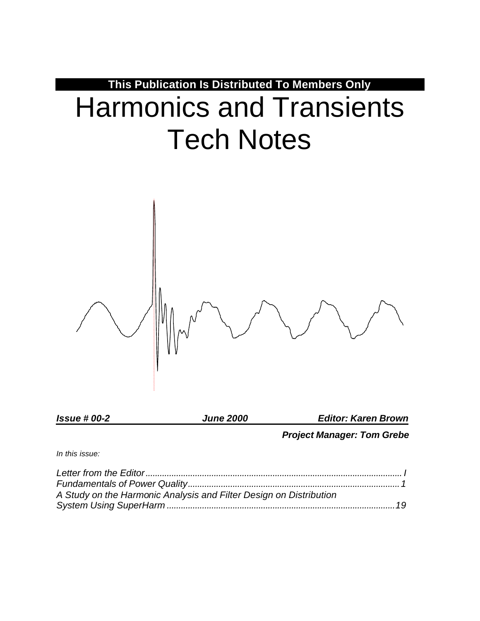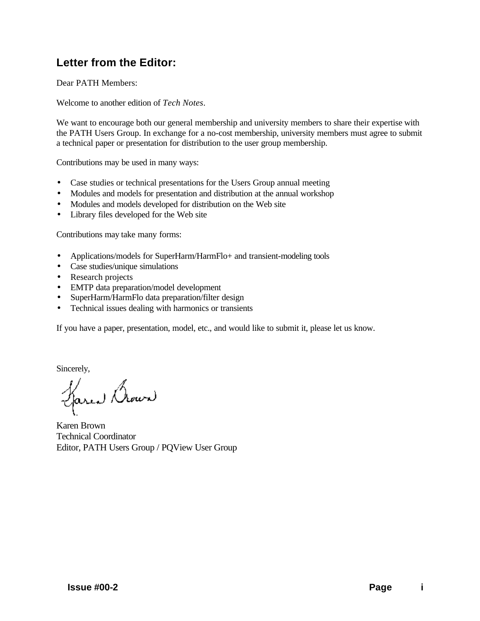# **Letter from the Editor:**

Dear PATH Members:

Welcome to another edition of *Tech Notes*.

We want to encourage both our general membership and university members to share their expertise with the PATH Users Group. In exchange for a no-cost membership, university members must agree to submit a technical paper or presentation for distribution to the user group membership.

Contributions may be used in many ways:

- Case studies or technical presentations for the Users Group annual meeting
- Modules and models for presentation and distribution at the annual workshop
- Modules and models developed for distribution on the Web site
- Library files developed for the Web site

Contributions may take many forms:

- Applications/models for SuperHarm/HarmFlo+ and transient-modeling tools
- Case studies/unique simulations
- Research projects
- EMTP data preparation/model development
- SuperHarm/HarmFlo data preparation/filter design
- Technical issues dealing with harmonics or transients

If you have a paper, presentation, model, etc., and would like to submit it, please let us know.

Sincerely,

Haren Bour

Karen Brown Technical Coordinator Editor, PATH Users Group / PQView User Group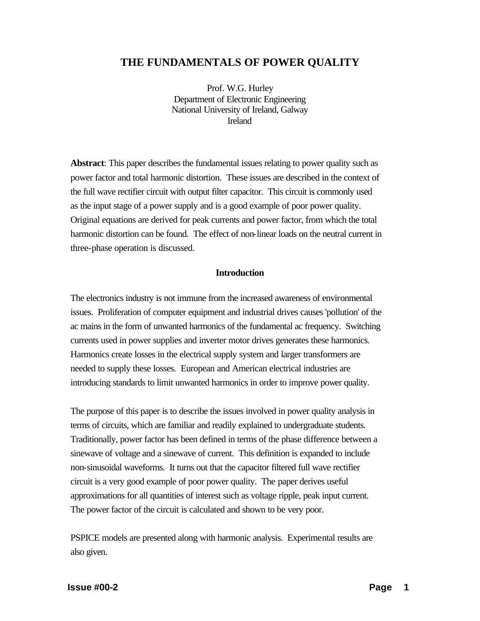# **THE FUNDAMENTALS OF POWER QUALITY**

Prof. W.G. Hurley Department of Electronic Engineering National University of Ireland, Galway Ireland

**Abstract**: This paper describes the fundamental issues relating to power quality such as power factor and total harmonic distortion. These issues are described in the context of the full wave rectifier circuit with output filter capacitor. This circuit is commonly used as the input stage of a power supply and is a good example of poor power quality. Original equations are derived for peak currents and power factor, from which the total harmonic distortion can be found. The effect of non-linear loads on the neutral current in three-phase operation is discussed.

## **Introduction**

The electronics industry is not immune from the increased awareness of environmental issues. Proliferation of computer equipment and industrial drives causes 'pollution' of the ac mains in the form of unwanted harmonics of the fundamental ac frequency. Switching currents used in power supplies and inverter motor drives generates these harmonics. Harmonics create losses in the electrical supply system and larger transformers are needed to supply these losses. European and American electrical industries are introducing standards to limit unwanted harmonics in order to improve power quality.

The purpose of this paper is to describe the issues involved in power quality analysis in terms of circuits, which are familiar and readily explained to undergraduate students. Traditionally, power factor has been defined in terms of the phase difference between a sinewave of voltage and a sinewave of current. This definition is expanded to include non-sinusoidal waveforms. It turns out that the capacitor filtered full wave rectifier circuit is a very good example of poor power quality. The paper derives useful approximations for all quantities of interest such as voltage ripple, peak input current. The power factor of the circuit is calculated and shown to be very poor.

PSPICE models are presented along with harmonic analysis. Experimental results are also given.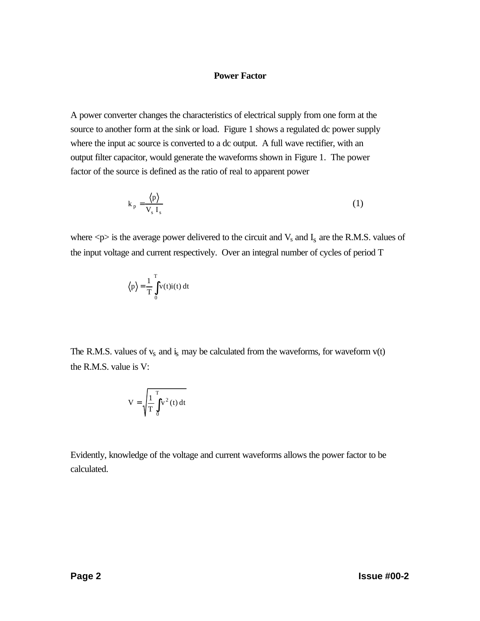## **Power Factor**

A power converter changes the characteristics of electrical supply from one form at the source to another form at the sink or load. Figure 1 shows a regulated dc power supply where the input ac source is converted to a dc output. A full wave rectifier, with an output filter capacitor, would generate the waveforms shown in Figure 1. The power factor of the source is defined as the ratio of real to apparent power

$$
k_p = \frac{\langle p \rangle}{V_s I_s}
$$
 (1)

where  $\langle p \rangle$  is the average power delivered to the circuit and  $V_s$  and  $I_s$  are the R.M.S. values of the input voltage and current respectively. Over an integral number of cycles of period T

$$
\langle p \rangle = \frac{1}{T} \int_{0}^{T} v(t)i(t) dt
$$

The R.M.S. values of  $v_s$  and  $i_s$  may be calculated from the waveforms, for waveform  $v(t)$ the R.M.S. value is V:

$$
V = \sqrt{\frac{1}{T} \int_{0}^{T} v^2(t) dt}
$$

Evidently, knowledge of the voltage and current waveforms allows the power factor to be calculated.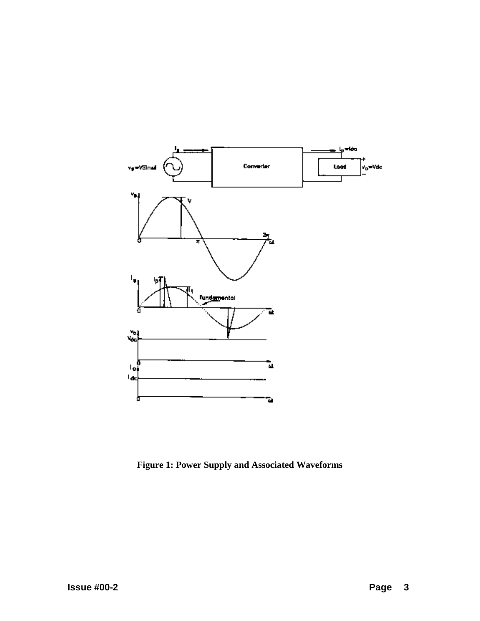

**Figure 1: Power Supply and Associated Waveforms**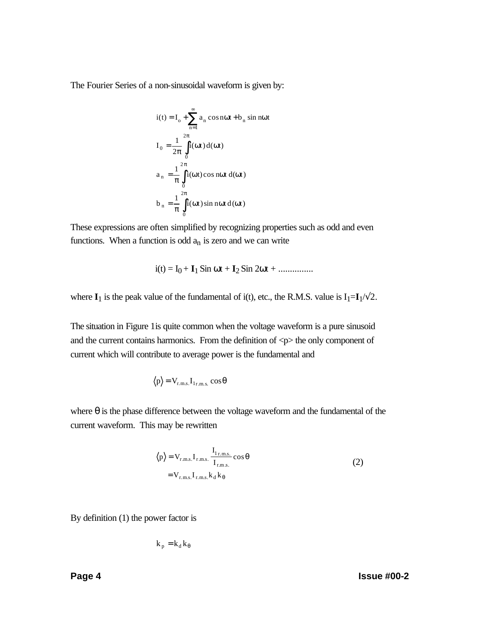The Fourier Series of a non-sinusoidal waveform is given by:

$$
i(t) = I_0 + \sum_{n=1}^{\infty} a_n \cos n\omega t + b_n \sin n\omega t
$$
  
\n
$$
I_0 = \frac{1}{2\pi} \int_0^{2\pi} i(\omega t) d(\omega t)
$$
  
\n
$$
a_n = \frac{1}{\pi} \int_0^{2\pi} i(\omega t) \cos n\omega t d(\omega t)
$$
  
\n
$$
b_n = \frac{1}{\pi} \int_0^{2\pi} i(\omega t) \sin n\omega t d(\omega t)
$$

These expressions are often simplified by recognizing properties such as odd and even functions. When a function is odd  $a_n$  is zero and we can write

$$
i(t) = I_0 + I_1 \sin \omega t + I_2 \sin 2\omega t + \dots
$$

where  $\mathbf{I}_1$  is the peak value of the fundamental of i(t), etc., the R.M.S. value is  $I_1 = \mathbf{I}_1 / \sqrt{2}$ .

The situation in Figure 1is quite common when the voltage waveform is a pure sinusoid and the current contains harmonics. From the definition of  $\langle p \rangle$  the only component of current which will contribute to average power is the fundamental and

$$
\langle p \rangle = V_{r.m.s.} I_{1r.m.s.} \cos \theta
$$

where  $\theta$  is the phase difference between the voltage waveform and the fundamental of the current waveform. This may be rewritten

$$
\langle p \rangle = V_{r.m.s.} I_{r.m.s.} \frac{I_{1r.m.s.}}{I_{r.m.s.}} \cos \theta
$$
  
= V\_{r.m.s.} I\_{r.m.s.} k\_d k\_{\theta} (2)

By definition (1) the power factor is

$$
k_p = k_d k_\theta
$$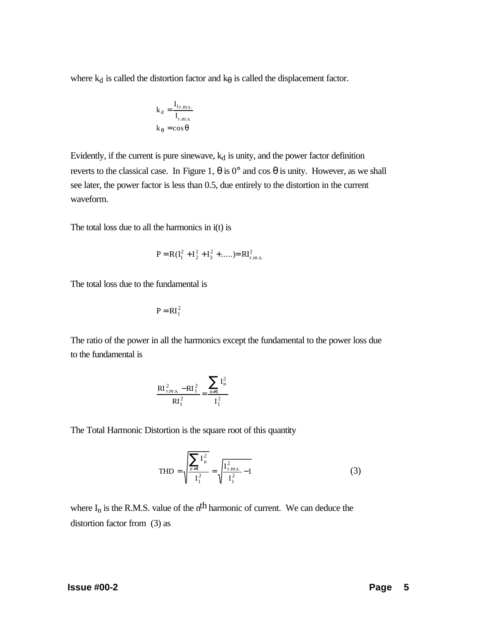where  $k_d$  is called the distortion factor and  $k_\theta$  is called the displacement factor.

$$
k_d = \frac{I_{1r.m.s.}}{I_{r.m.s.}}
$$

$$
k_{\theta} = \cos \theta
$$

Evidently, if the current is pure sinewave,  $k_d$  is unity, and the power factor definition reverts to the classical case. In Figure 1,  $θ$  is 0° and cos  $θ$  is unity. However, as we shall see later, the power factor is less than 0.5, due entirely to the distortion in the current waveform.

The total loss due to all the harmonics in i(t) is

$$
P = R(I_1^2 + I_2^2 + I_3^2 + \dots) = RI_{r.m.s.}^2
$$

The total loss due to the fundamental is

$$
P = RI_1^2
$$

The ratio of the power in all the harmonics except the fundamental to the power loss due to the fundamental is

$$
\frac{R I_{r,m,s.}^2 - R I_1^2}{R I_1^2} = \frac{\sum_{n \neq 1} I_n^2}{I_1^2}
$$

The Total Harmonic Distortion is the square root of this quantity

$$
\text{THD} = \sqrt{\frac{\sum_{n \neq 1} I_n^2}{I_1^2}} = \sqrt{\frac{I_{\text{r.m.s.}}^2}{I_1^2} - 1} \tag{3}
$$

where  $I_n$  is the R.M.S. value of the n<sup>th</sup> harmonic of current. We can deduce the distortion factor from (3) as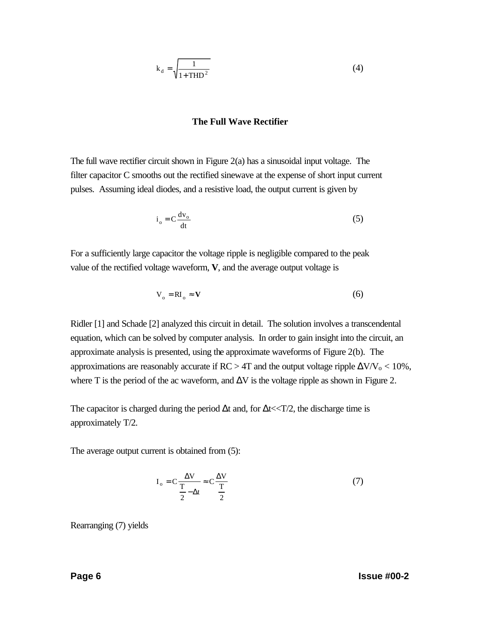$$
k_d = \sqrt{\frac{1}{1 + THD^2}}
$$
 (4)

#### **The Full Wave Rectifier**

The full wave rectifier circuit shown in Figure  $2(a)$  has a sinusoidal input voltage. The filter capacitor C smooths out the rectified sinewave at the expense of short input current pulses. Assuming ideal diodes, and a resistive load, the output current is given by

$$
i_o = C \frac{dv_o}{dt}
$$
 (5)

For a sufficiently large capacitor the voltage ripple is negligible compared to the peak value of the rectified voltage waveform, **V**, and the average output voltage is

$$
V_o = RI_o \approx V \tag{6}
$$

Ridler [1] and Schade [2] analyzed this circuit in detail. The solution involves a transcendental equation, which can be solved by computer analysis. In order to gain insight into the circuit, an approximate analysis is presented, using the approximate waveforms of Figure 2(b). The approximations are reasonably accurate if  $RC > 4T$  and the output voltage ripple  $\Delta V/V_0 < 10\%$ , where T is the period of the ac waveform, and  $\Delta V$  is the voltage ripple as shown in Figure 2.

The capacitor is charged during the period  $\Delta t$  and, for  $\Delta t \ll T/2$ , the discharge time is approximately T/2.

The average output current is obtained from (5):

$$
I_o = C \frac{\Delta V}{\frac{T}{2} - \Delta t} \approx C \frac{\Delta V}{\frac{T}{2}}
$$
 (7)

Rearranging (7) yields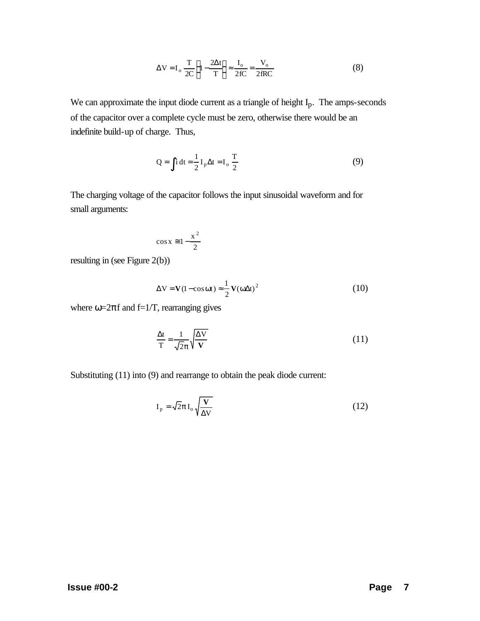$$
\Delta V = I_o \frac{T}{2C} \left\{ 1 - \frac{2\Delta t}{T} \right\} \approx \frac{I_o}{2fC} = \frac{V_o}{2fRC}
$$
 (8)

We can approximate the input diode current as a triangle of height  $I_p$ . The amps-seconds of the capacitor over a complete cycle must be zero, otherwise there would be an indefinite build-up of charge. Thus,

$$
Q = \int i \, dt = \frac{1}{2} I_p \Delta t = I_o \frac{T}{2}
$$
 (9)

The charging voltage of the capacitor follows the input sinusoidal waveform and for small arguments:

$$
\cos x \cong 1 - \frac{x^2}{2}
$$

resulting in (see Figure 2(b))

$$
\Delta V = V(1 - \cos \omega t) \approx \frac{1}{2} V(\omega \Delta t)^2
$$
 (10)

where  $\omega = 2\pi f$  and f=1/T, rearranging gives

$$
\frac{\Delta t}{T} = \frac{1}{\sqrt{2}\pi} \sqrt{\frac{\Delta V}{V}}
$$
(11)

Substituting (11) into (9) and rearrange to obtain the peak diode current:

$$
I_p = \sqrt{2}\pi I_o \sqrt{\frac{V}{\Delta V}}
$$
 (12)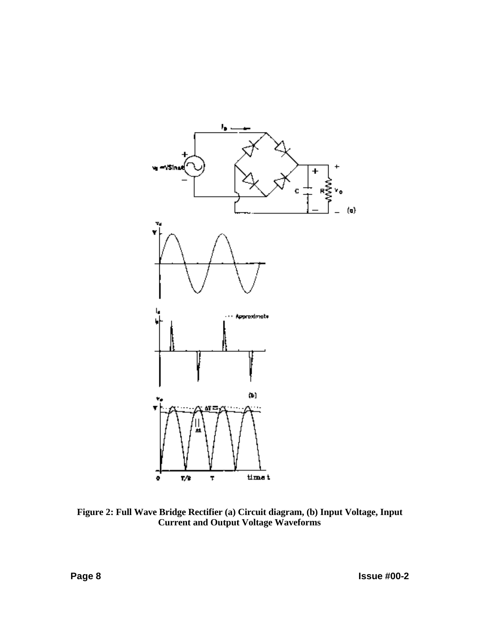

**Figure 2: Full Wave Bridge Rectifier (a) Circuit diagram, (b) Input Voltage, Input Current and Output Voltage Waveforms**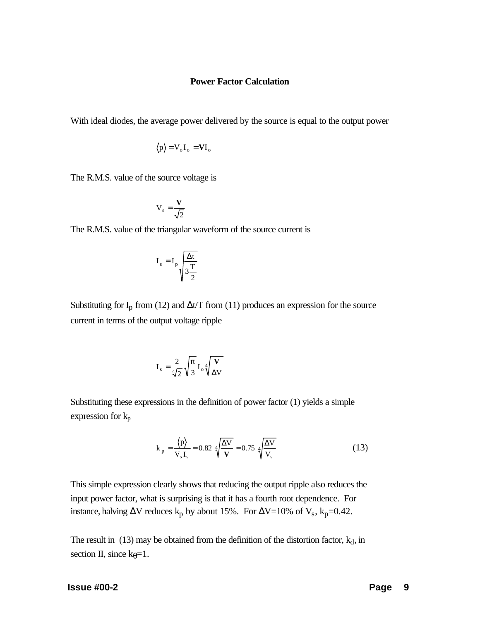#### **Power Factor Calculation**

With ideal diodes, the average power delivered by the source is equal to the output power

$$
\langle p \rangle = V_0 I_0 = VI_0
$$

The R.M.S. value of the source voltage is

$$
V_s = \frac{V}{\sqrt{2}}
$$

The R.M.S. value of the triangular waveform of the source current is

$$
I_s = I_p \sqrt{\frac{\Delta t}{3\frac{T}{2}}}
$$

Substituting for  $I_p$  from (12) and  $\Delta t/T$  from (11) produces an expression for the source current in terms of the output voltage ripple

$$
I_s = \frac{2}{\sqrt[4]{2}} \sqrt{\frac{\pi}{3}} I_o \sqrt[4]{\frac{V}{\Delta V}}
$$

Substituting these expressions in the definition of power factor (1) yields a simple expression for  $k_p$ 

$$
k_p = \frac{\langle p \rangle}{V_s I_s} = 0.82 \sqrt[4]{\frac{\Delta V}{V}} = 0.75 \sqrt[4]{\frac{\Delta V}{V_s}}
$$
 (13)

This simple expression clearly shows that reducing the output ripple also reduces the input power factor, what is surprising is that it has a fourth root dependence. For instance, halving  $\Delta V$  reduces  $k_p$  by about 15%. For  $\Delta V = 10\%$  of  $V_s$ ,  $k_p = 0.42$ .

The result in (13) may be obtained from the definition of the distortion factor,  $k_d$ , in section II, since  $k_{\theta} = 1$ .

#### **Issue #00-2 Page** 9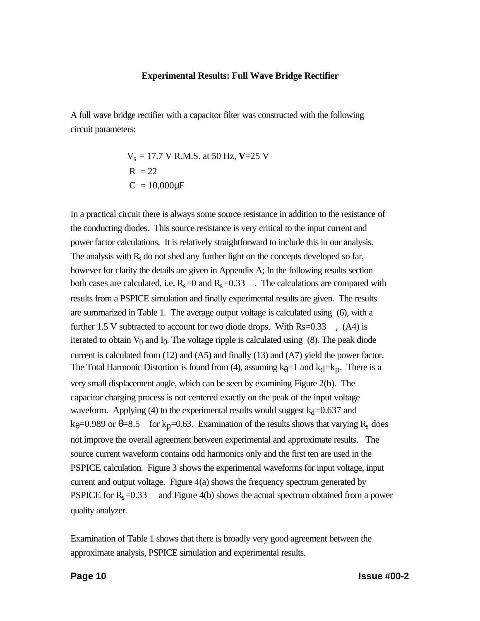#### **Experimental Results: Full Wave Bridge Rectifier**

A full wave bridge rectifier with a capacitor filter was constructed with the following circuit parameters:

$$
V_s = 17.7 \text{ V R.M.S. at 50 Hz}, V=25 \text{ V}
$$
  
R = 22  
C = 10,000µF

In a practical circuit there is always some source resistance in addition to the resistance of the conducting diodes. This source resistance is very critical to the input current and power factor calculations. It is relatively straightforward to include this in our analysis. The analysis with  $R_s$  do not shed any further light on the concepts developed so far, however for clarity the details are given in Appendix A; In the following results section both cases are calculated, i.e.  $R_s = 0$  and  $R_s = 0.33$ . The calculations are compared with results from a PSPICE simulation and finally experimental results are given. The results are summarized in Table 1. The average output voltage is calculated using (6), with a further 1.5 V subtracted to account for two diode drops. With  $Rs=0.33$ ,  $(A4)$  is iterated to obtain  $V_0$  and  $I_0$ . The voltage ripple is calculated using (8). The peak diode current is calculated from (12) and (A5) and finally (13) and (A7) yield the power factor. The Total Harmonic Distortion is found from (4), assuming  $k_{\theta}=1$  and  $k_{\theta}=k_{\theta}$ . There is a very small displacement angle, which can be seen by examining Figure 2(b). The capacitor charging process is not centered exactly on the peak of the input voltage waveform. Applying (4) to the experimental results would suggest  $k_d$ =0.637 and  $k_{\theta}$ =0.989 or  $\theta$ =8.5 for k<sub>p</sub>=0.63. Examination of the results shows that varying R<sub>s</sub> does not improve the overall agreement between experimental and approximate results. The source current waveform contains odd harmonics only and the first ten are used in the PSPICE calculation. Figure 3 shows the experimental waveforms for input voltage, input current and output voltage. Figure 4(a) shows the frequency spectrum generated by PSPICE for  $R_s = 0.33$  and Figure 4(b) shows the actual spectrum obtained from a power quality analyzer.

Examination of Table 1 shows that there is broadly very good agreement between the approximate analysis, PSPICE simulation and experimental results.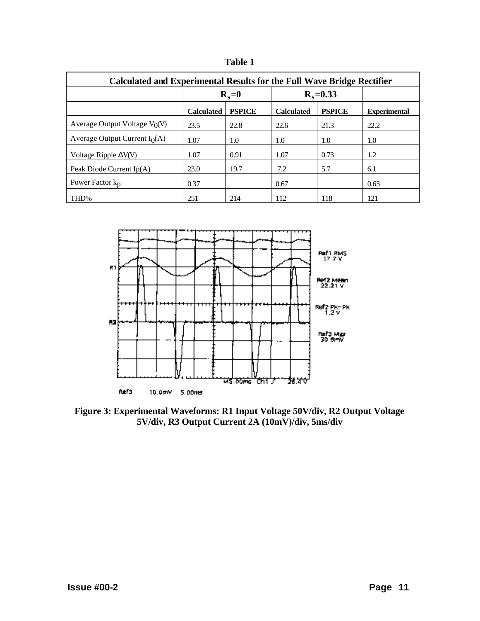| חו<br>۱<br>г і |  |
|----------------|--|
|----------------|--|

| <b>Calculated and Experimental Results for the Full Wave Bridge Rectifier</b> |                   |               |                   |               |                     |  |  |  |
|-------------------------------------------------------------------------------|-------------------|---------------|-------------------|---------------|---------------------|--|--|--|
|                                                                               | $R_s = 0$         |               | $R_s = 0.33$      |               |                     |  |  |  |
|                                                                               | <b>Calculated</b> | <b>PSPICE</b> | <b>Calculated</b> | <b>PSPICE</b> | <b>Experimental</b> |  |  |  |
| Average Output Voltage $V_0(V)$                                               | 23.5              | 22.8          | 22.6              | 21.3          | 22.2                |  |  |  |
| Average Output Current $I_0(A)$                                               | 1.07              | 1.0           | 1.0               | 1.0           | 1.0                 |  |  |  |
| Voltage Ripple $\Delta V(V)$                                                  | 1.07              | 0.91          | 1.07              | 0.73          | 1.2                 |  |  |  |
| Peak Diode Current $Ip(A)$                                                    | 23.0              | 19.7          | 7.2               | 5.7           | 6.1                 |  |  |  |
| Power Factor $k_p$                                                            | 0.37              |               | 0.67              |               | 0.63                |  |  |  |
| THD%                                                                          | 251               | 214           | 112               | 118           | 121                 |  |  |  |



**Figure 3: Experimental Waveforms: R1 Input Voltage 50V/div, R2 Output Voltage 5V/div, R3 Output Current 2A (10mV)/div, 5ms/div**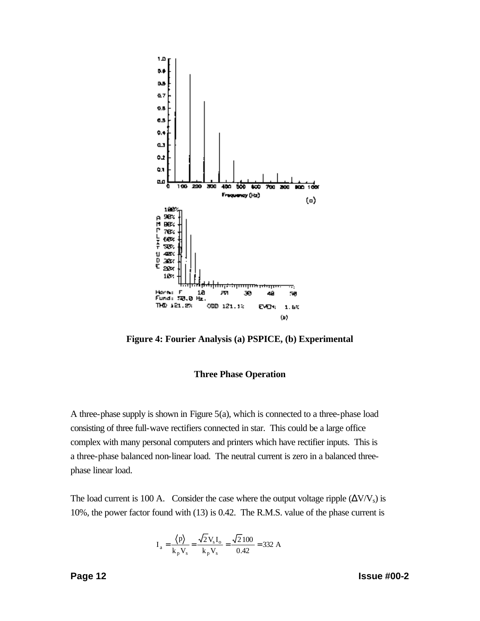

**Figure 4: Fourier Analysis (a) PSPICE, (b) Experimental**

#### **Three Phase Operation**

A three-phase supply is shown in Figure 5(a), which is connected to a three-phase load consisting of three full-wave rectifiers connected in star. This could be a large office complex with many personal computers and printers which have rectifier inputs. This is a three-phase balanced non-linear load. The neutral current is zero in a balanced threephase linear load.

The load current is 100 A. Consider the case where the output voltage ripple  $(\Delta V/V_s)$  is 10%, the power factor found with (13) is 0.42. The R.M.S. value of the phase current is

$$
I_{a} = \frac{\langle p \rangle}{k_{p} V_{s}} = \frac{\sqrt{2} V_{s} I_{o}}{k_{p} V_{s}} = \frac{\sqrt{2} 100}{0.42} = 332 A
$$

**Page 12 Issue #00-2**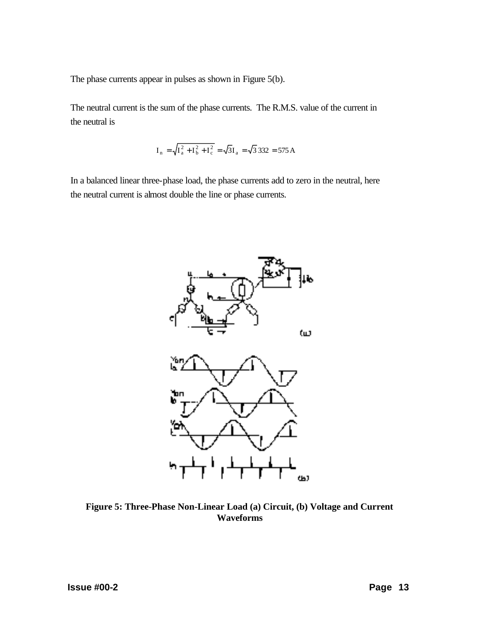The phase currents appear in pulses as shown in Figure 5(b).

The neutral current is the sum of the phase currents. The R.M.S. value of the current in the neutral is

$$
I_{n} = \sqrt{I_{a}^{2} + I_{b}^{2} + I_{c}^{2}} = \sqrt{3}I_{a} = \sqrt{3}332 = 575 \text{ A}
$$

In a balanced linear three-phase load, the phase currents add to zero in the neutral, here the neutral current is almost double the line or phase currents.



**Figure 5: Three-Phase Non-Linear Load (a) Circuit, (b) Voltage and Current Waveforms**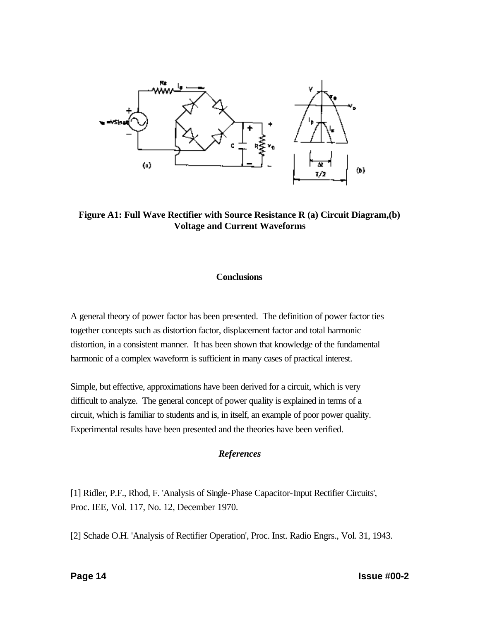

**Figure A1: Full Wave Rectifier with Source Resistance R (a) Circuit Diagram,(b) Voltage and Current Waveforms**

## **Conclusions**

A general theory of power factor has been presented. The definition of power factor ties together concepts such as distortion factor, displacement factor and total harmonic distortion, in a consistent manner. It has been shown that knowledge of the fundamental harmonic of a complex waveform is sufficient in many cases of practical interest.

Simple, but effective, approximations have been derived for a circuit, which is very difficult to analyze. The general concept of power quality is explained in terms of a circuit, which is familiar to students and is, in itself, an example of poor power quality. Experimental results have been presented and the theories have been verified.

## *References*

[1] Ridler, P.F., Rhod, F. 'Analysis of Single-Phase Capacitor-Input Rectifier Circuits', Proc. IEE, Vol. 117, No. 12, December 1970.

[2] Schade O.H. 'Analysis of Rectifier Operation', Proc. Inst. Radio Engrs., Vol. 31, 1943.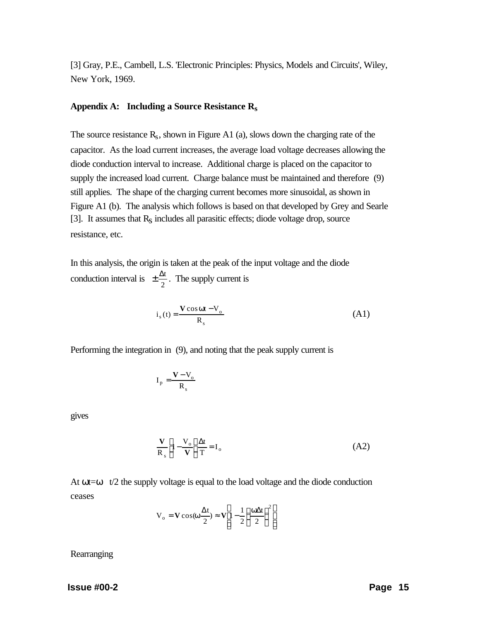[3] Gray, P.E., Cambell, L.S. 'Electronic Principles: Physics, Models and Circuits', Wiley, New York, 1969.

#### **Appendix A: Including a Source Resistance Rs**

The source resistance  $R_s$ , shown in Figure A1 (a), slows down the charging rate of the capacitor. As the load current increases, the average load voltage decreases allowing the diode conduction interval to increase. Additional charge is placed on the capacitor to supply the increased load current. Charge balance must be maintained and therefore (9) still applies. The shape of the charging current becomes more sinusoidal, as shown in Figure A1 (b). The analysis which follows is based on that developed by Grey and Searle [3]. It assumes that  $R<sub>S</sub>$  includes all parasitic effects; diode voltage drop, source resistance, etc.

In this analysis, the origin is taken at the peak of the input voltage and the diode conduction interval is  $\pm \frac{\Delta x}{2}$  $\frac{\Delta t}{2}$ . The supply current is

$$
i_s(t) = \frac{V \cos \omega t - V_o}{R_s}
$$
 (A1)

Performing the integration in (9), and noting that the peak supply current is

$$
I_p = \frac{V - V_o}{R_s}
$$

gives

$$
\frac{\mathbf{V}}{\mathbf{R}_s} \left[ 1 - \frac{\mathbf{V}_o}{\mathbf{V}} \right] \frac{\Delta t}{T} = \mathbf{I}_o \tag{A2}
$$

At  $\omega t = \omega$  t/2 the supply voltage is equal to the load voltage and the diode conduction ceases

$$
V_o = V \cos(\omega \frac{\Delta t}{2}) \approx V \left[ 1 - \frac{1}{2} \left( \frac{\omega \Delta t}{2} \right)^2 \right]
$$

**Rearranging**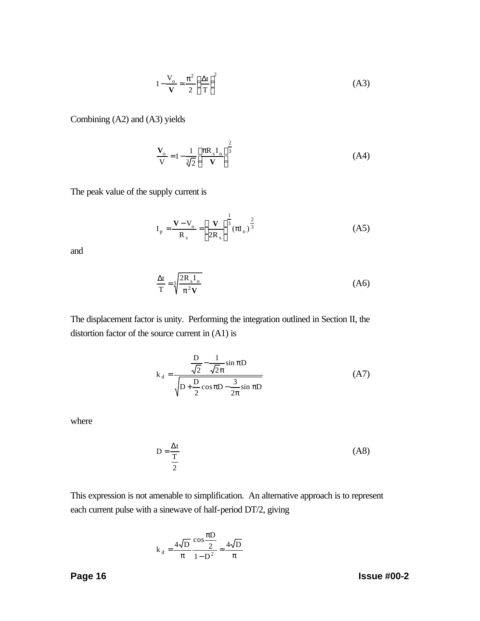$$
1 - \frac{V_o}{V} = \frac{\pi^2}{2} \left(\frac{\Delta t}{T}\right)^2
$$
 (A3)

Combining (A2) and (A3) yields

$$
\frac{\mathbf{V}_o}{\mathbf{V}} = 1 - \frac{1}{\sqrt[3]{2}} \left[ \frac{\pi R_s I_o}{\mathbf{V}} \right]^{\frac{2}{3}}
$$
(A4)

The peak value of the supply current is

$$
I_{p} = \frac{V - V_{o}}{R_{s}} = \left[\frac{V}{2R_{s}}\right]^{\frac{1}{3}} (\pi I_{o})^{\frac{2}{3}}
$$
 (A5)

and

$$
\frac{\Delta t}{T} = \sqrt[3]{\frac{2R_s I_o}{\pi^2 V}}
$$
(A6)

The displacement factor is unity. Performing the integration outlined in Section II, the distortion factor of the source current in (A1) is

$$
k_{d} = \frac{\frac{D}{\sqrt{2}} - \frac{1}{\sqrt{2}\pi} \sin \pi D}{\sqrt{D + \frac{D}{2} \cos \pi D - \frac{3}{2\pi} \sin \pi D}}
$$
(A7)

where

$$
D = \frac{\Delta t}{\frac{T}{2}}
$$
 (A8)

This expression is not amenable to simplification. An alternative approach is to represent each current pulse with a sinewave of half-period DT/2, giving

$$
k_d = \frac{4\sqrt{D}}{\pi} \frac{\cos \frac{\pi D}{2}}{1 - D^2} \approx \frac{4\sqrt{D}}{\pi}
$$

**Page 16 Issue #00-2**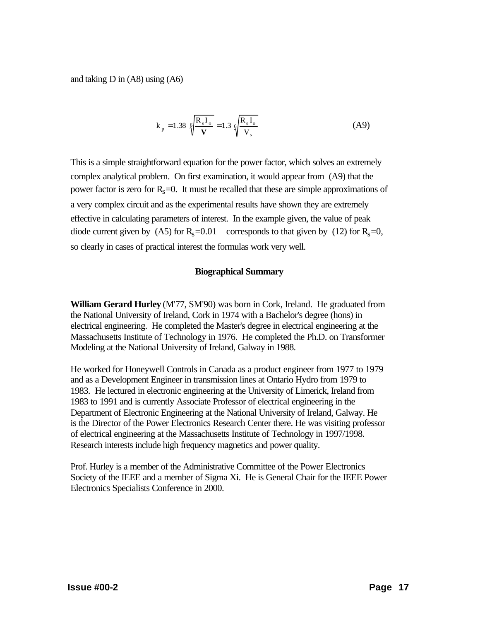and taking D in (A8) using (A6)

$$
k_p = 1.38 \sqrt[6]{\frac{R_s I_o}{V}} = 1.3 \sqrt[6]{\frac{R_s I_o}{V_s}}
$$
 (A9)

This is a simple straightforward equation for the power factor, which solves an extremely complex analytical problem. On first examination, it would appear from (A9) that the power factor is zero for  $R_s = 0$ . It must be recalled that these are simple approximations of a very complex circuit and as the experimental results have shown they are extremely effective in calculating parameters of interest. In the example given, the value of peak diode current given by (A5) for  $R_s = 0.01$  corresponds to that given by (12) for  $R_s = 0$ , so clearly in cases of practical interest the formulas work very well.

## **Biographical Summary**

**William Gerard Hurley** (M'77, SM'90) was born in Cork, Ireland. He graduated from the National University of Ireland, Cork in 1974 with a Bachelor's degree (hons) in electrical engineering. He completed the Master's degree in electrical engineering at the Massachusetts Institute of Technology in 1976. He completed the Ph.D. on Transformer Modeling at the National University of Ireland, Galway in 1988.

He worked for Honeywell Controls in Canada as a product engineer from 1977 to 1979 and as a Development Engineer in transmission lines at Ontario Hydro from 1979 to 1983. He lectured in electronic engineering at the University of Limerick, Ireland from 1983 to 1991 and is currently Associate Professor of electrical engineering in the Department of Electronic Engineering at the National University of Ireland, Galway. He is the Director of the Power Electronics Research Center there. He was visiting professor of electrical engineering at the Massachusetts Institute of Technology in 1997/1998. Research interests include high frequency magnetics and power quality.

Prof. Hurley is a member of the Administrative Committee of the Power Electronics Society of the IEEE and a member of Sigma Xi. He is General Chair for the IEEE Power Electronics Specialists Conference in 2000.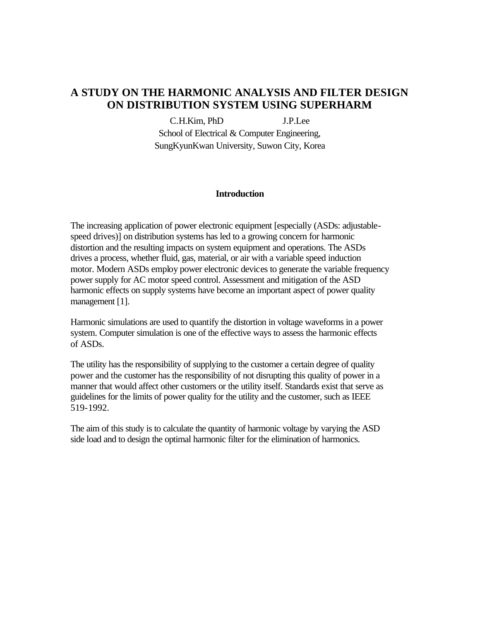# **A STUDY ON THE HARMONIC ANALYSIS AND FILTER DESIGN ON DISTRIBUTION SYSTEM USING SUPERHARM**

C.H.Kim, PhD J.P.Lee School of Electrical & Computer Engineering, SungKyunKwan University, Suwon City, Korea

#### **Introduction**

The increasing application of power electronic equipment [especially (ASDs: adjustablespeed drives)] on distribution systems has led to a growing concern for harmonic distortion and the resulting impacts on system equipment and operations. The ASDs drives a process, whether fluid, gas, material, or air with a variable speed induction motor. Modern ASDs employ power electronic devices to generate the variable frequency power supply for AC motor speed control. Assessment and mitigation of the ASD harmonic effects on supply systems have become an important aspect of power quality management [1].

Harmonic simulations are used to quantify the distortion in voltage waveforms in a power system. Computer simulation is one of the effective ways to assess the harmonic effects of ASDs.

The utility has the responsibility of supplying to the customer a certain degree of quality power and the customer has the responsibility of not disrupting this quality of power in a manner that would affect other customers or the utility itself. Standards exist that serve as guidelines for the limits of power quality for the utility and the customer, such as IEEE 519-1992.

The aim of this study is to calculate the quantity of harmonic voltage by varying the ASD side load and to design the optimal harmonic filter for the elimination of harmonics.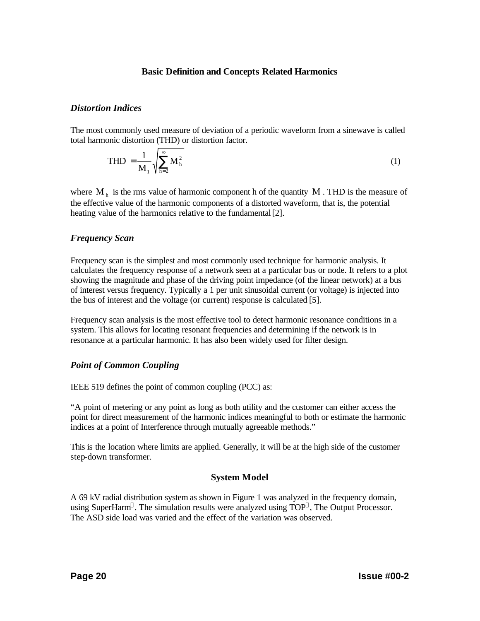#### **Basic Definition and Concepts Related Harmonics**

#### *Distortion Indices*

The most commonly used measure of deviation of a periodic waveform from a sinewave is called total harmonic distortion (THD) or distortion factor.

$$
THD = \frac{1}{M_1} \sqrt{\sum_{h=2}^{\infty} M_h^2}
$$
 (1)

where  $M<sub>h</sub>$  is the rms value of harmonic component h of the quantity M. THD is the measure of the effective value of the harmonic components of a distorted waveform, that is, the potential heating value of the harmonics relative to the fundamental [2].

## *Frequency Scan*

Frequency scan is the simplest and most commonly used technique for harmonic analysis. It calculates the frequency response of a network seen at a particular bus or node. It refers to a plot showing the magnitude and phase of the driving point impedance (of the linear network) at a bus of interest versus frequency. Typically a 1 per unit sinusoidal current (or voltage) is injected into the bus of interest and the voltage (or current) response is calculated [5].

Frequency scan analysis is the most effective tool to detect harmonic resonance conditions in a system. This allows for locating resonant frequencies and determining if the network is in resonance at a particular harmonic. It has also been widely used for filter design.

## *Point of Common Coupling*

IEEE 519 defines the point of common coupling (PCC) as:

"A point of metering or any point as long as both utility and the customer can either access the point for direct measurement of the harmonic indices meaningful to both or estimate the harmonic indices at a point of Interference through mutually agreeable methods."

This is the location where limits are applied. Generally, it will be at the high side of the customer step-down transformer.

## **System Model**

A 69 kV radial distribution system as shown in Figure 1 was analyzed in the frequency domain, using SuperHarm®. The simulation results were analyzed using TOP®, The Output Processor. The ASD side load was varied and the effect of the variation was observed.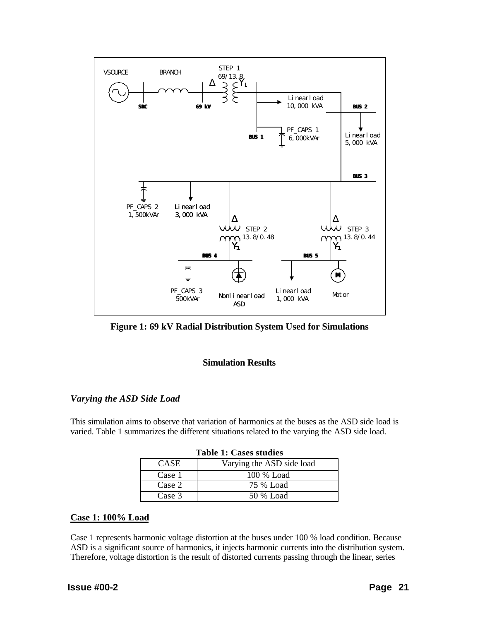

**Figure 1: 69 kV Radial Distribution System Used for Simulations**

## **Simulation Results**

## *Varying the ASD Side Load*

This simulation aims to observe that variation of harmonics at the buses as the ASD side load is varied. Table 1 summarizes the different situations related to the varying the ASD side load.

| Table 1: Cases studies |                           |  |  |  |  |
|------------------------|---------------------------|--|--|--|--|
| <b>CASE</b>            | Varying the ASD side load |  |  |  |  |
| Case 1                 | 100 % Load                |  |  |  |  |
| Case 2                 | 75 % Load                 |  |  |  |  |
| Case 3                 | 50 % Load                 |  |  |  |  |

## **Case 1: 100% Load**

Case 1 represents harmonic voltage distortion at the buses under 100 % load condition. Because ASD is a significant source of harmonics, it injects harmonic currents into the distribution system. Therefore, voltage distortion is the result of distorted currents passing through the linear, series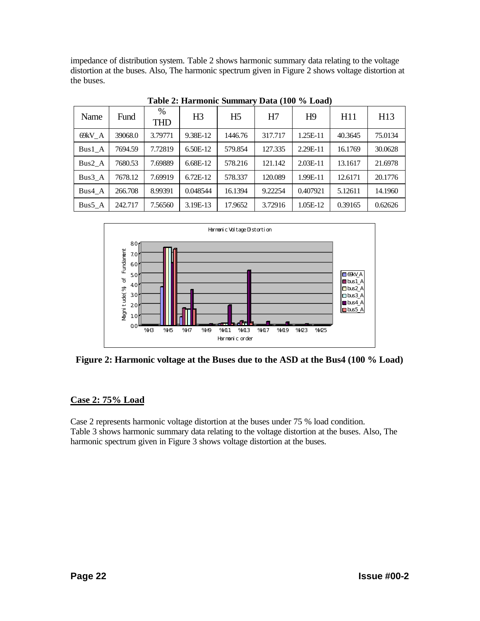impedance of distribution system. Table 2 shows harmonic summary data relating to the voltage distortion at the buses. Also, The harmonic spectrum given in Figure 2 shows voltage distortion at the buses.

| Name   | Fund    | $\%$<br><b>THD</b> | H <sub>3</sub> | H <sub>5</sub> | H7      | H <sub>9</sub> | H11     | H13     |
|--------|---------|--------------------|----------------|----------------|---------|----------------|---------|---------|
| 69kV A | 39068.0 | 3.79771            | 9.38E-12       | 1446.76        | 317.717 | 1.25E-11       | 40.3645 | 75.0134 |
| Bus1 A | 7694.59 | 7.72819            | 6.50E-12       | 579.854        | 127.335 | 2.29E-11       | 16.1769 | 30.0628 |
| Bus2 A | 7680.53 | 7.69889            | 6.68E-12       | 578.216        | 121.142 | $2.03E-11$     | 13.1617 | 21.6978 |
| Bus3 A | 7678.12 | 7.69919            | $6.72E-12$     | 578.337        | 120.089 | 1.99E-11       | 12.6171 | 20.1776 |
| Bus4 A | 266.708 | 8.99391            | 0.048544       | 16.1394        | 9.22254 | 0.407921       | 5.12611 | 14.1960 |
| Bus5 A | 242.717 | 7.56560            | 3.19E-13       | 17.9652        | 3.72916 | 1.05E-12       | 0.39165 | 0.62626 |

**Table 2: Harmonic Summary Data (100 % Load)**



**Figure 2: Harmonic voltage at the Buses due to the ASD at the Bus4 (100 % Load)**

# **Case 2: 75% Load**

Case 2 represents harmonic voltage distortion at the buses under 75 % load condition. Table 3 shows harmonic summary data relating to the voltage distortion at the buses. Also, The harmonic spectrum given in Figure 3 shows voltage distortion at the buses.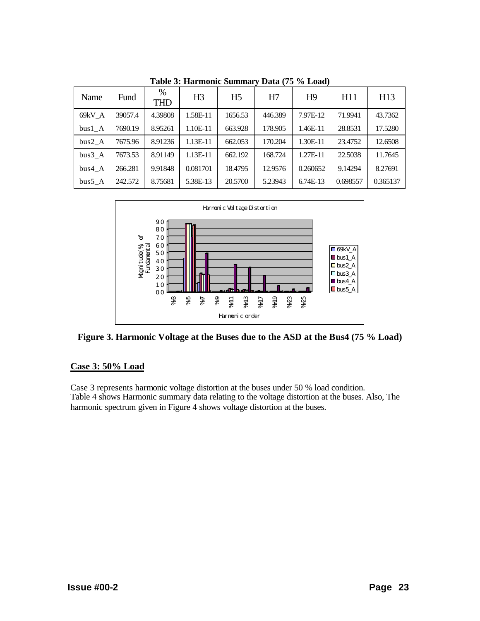| Name   | Fund    | %<br><b>THD</b> | H <sub>3</sub> | H <sub>5</sub> | H7      | H <sub>9</sub> | H11      | H13      |
|--------|---------|-----------------|----------------|----------------|---------|----------------|----------|----------|
| 69kV A | 39057.4 | 4.39808         | 1.58E-11       | 1656.53        | 446.389 | 7.97E-12       | 71.9941  | 43.7362  |
| bus1 A | 7690.19 | 8.95261         | 1.10E-11       | 663.928        | 178.905 | 1.46E-11       | 28.8531  | 17.5280  |
| bus2 A | 7675.96 | 8.91236         | 1.13E-11       | 662.053        | 170.204 | $1.30E-11$     | 23.4752  | 12.6508  |
| bus3 A | 7673.53 | 8.91149         | 1.13E-11       | 662.192        | 168.724 | 1.27E-11       | 22.5038  | 11.7645  |
| bus4 A | 266.281 | 9.91848         | 0.081701       | 18.4795        | 12.9576 | 0.260652       | 9.14294  | 8.27691  |
| bus5 A | 242.572 | 8.75681         | 5.38E-13       | 20.5700        | 5.23943 | 6.74E-13       | 0.698557 | 0.365137 |

**Table 3: Harmonic Summary Data (75 % Load)**



**Figure 3. Harmonic Voltage at the Buses due to the ASD at the Bus4 (75 % Load)**

## **Case 3: 50% Load**

Case 3 represents harmonic voltage distortion at the buses under 50 % load condition. Table 4 shows Harmonic summary data relating to the voltage distortion at the buses. Also, The harmonic spectrum given in Figure 4 shows voltage distortion at the buses.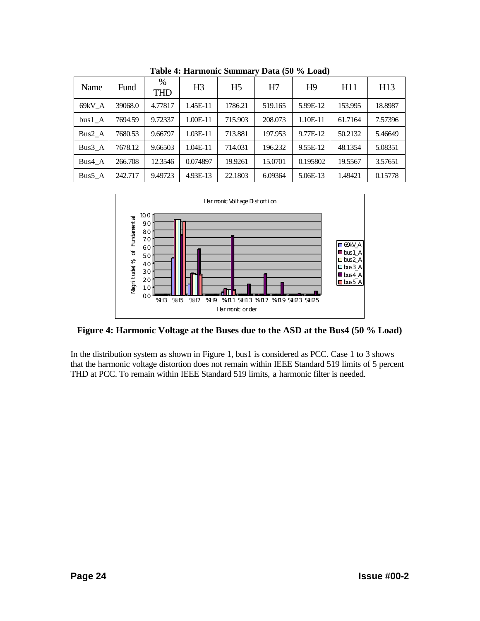| $\cdots$ == $\cdots$ === |         |                 |          |                |         |                |         |         |
|--------------------------|---------|-----------------|----------|----------------|---------|----------------|---------|---------|
| Name                     | Fund    | %<br><b>THD</b> | H3       | H <sub>5</sub> | H7      | H <sup>9</sup> | H11     | H13     |
| 69kV A                   | 39068.0 | 4.77817         | 1.45E-11 | 1786.21        | 519.165 | 5.99E-12       | 153.995 | 18.8987 |
| $bus1_A$                 | 7694.59 | 9.72337         | 1.00E-11 | 715.903        | 208.073 | 1.10E-11       | 61.7164 | 7.57396 |
| $Bus2_A$                 | 7680.53 | 9.66797         | 1.03E-11 | 713.881        | 197.953 | 9.77E-12       | 50.2132 | 5.46649 |
| Bus3 A                   | 7678.12 | 9.66503         | 1.04E-11 | 714.031        | 196.232 | 9.55E-12       | 48.1354 | 5.08351 |
| Bus4 A                   | 266.708 | 12.3546         | 0.074897 | 19.9261        | 15.0701 | 0.195802       | 19.5567 | 3.57651 |
| $Bus5_A$                 | 242.717 | 9.49723         | 4.93E-13 | 22.1803        | 6.09364 | 5.06E-13       | 1.49421 | 0.15778 |

**Table 4: Harmonic Summary Data (50 % Load)**



**Figure 4: Harmonic Voltage at the Buses due to the ASD at the Bus4 (50 % Load)**

In the distribution system as shown in Figure 1, bus1 is considered as PCC. Case 1 to 3 shows that the harmonic voltage distortion does not remain within IEEE Standard 519 limits of 5 percent THD at PCC. To remain within IEEE Standard 519 limits, a harmonic filter is needed.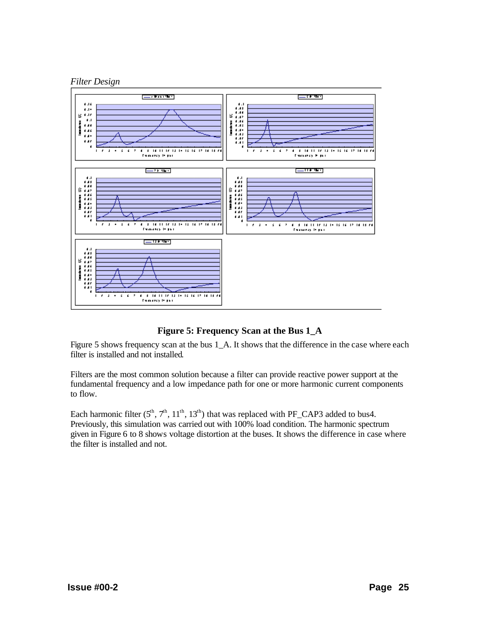



## **Figure 5: Frequency Scan at the Bus 1\_A**

Figure 5 shows frequency scan at the bus 1\_A. It shows that the difference in the case where each filter is installed and not installed.

Filters are the most common solution because a filter can provide reactive power support at the fundamental frequency and a low impedance path for one or more harmonic current components to flow.

Each harmonic filter  $(5^{\text{th}}, 7^{\text{th}}, 11^{\text{th}}, 13^{\text{th}})$  that was replaced with PF\_CAP3 added to bus4. Previously, this simulation was carried out with 100% load condition. The harmonic spectrum given in Figure 6 to 8 shows voltage distortion at the buses. It shows the difference in case where the filter is installed and not.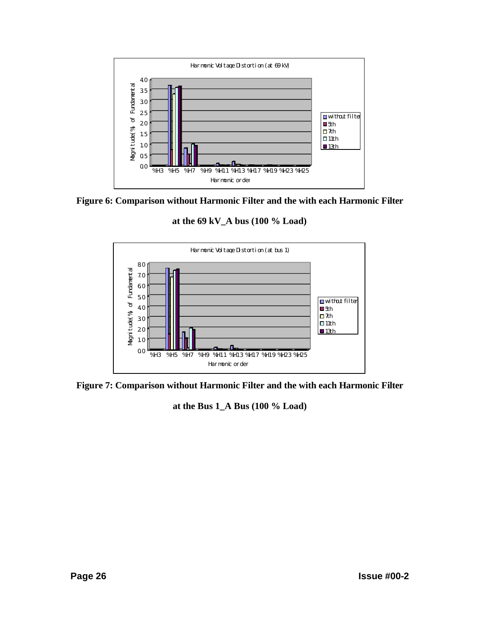

**Figure 6: Comparison without Harmonic Filter and the with each Harmonic Filter**

**at the 69 kV\_A bus (100 % Load)**



**Figure 7: Comparison without Harmonic Filter and the with each Harmonic Filter**

**at the Bus 1\_A Bus (100 % Load)**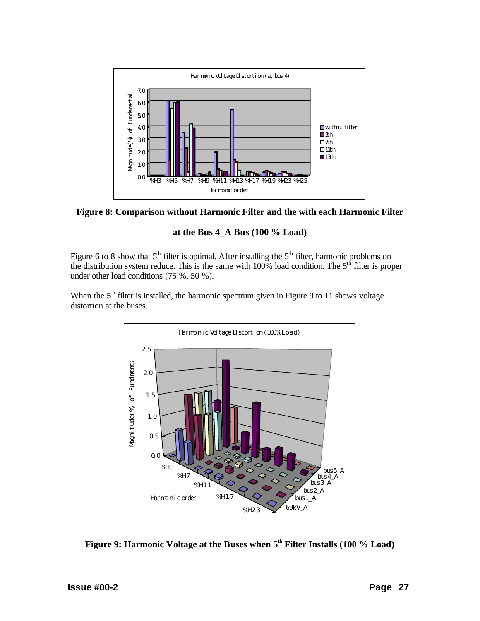



## **at the Bus 4\_A Bus (100 % Load)**

Figure 6 to 8 show that  $5<sup>th</sup>$  filter is optimal. After installing the  $5<sup>th</sup>$  filter, harmonic problems on the distribution system reduce. This is the same with  $100\%$  load condition. The  $5<sup>th</sup>$  filter is proper under other load conditions (75 %, 50 %).

When the  $5<sup>th</sup>$  filter is installed, the harmonic spectrum given in Figure 9 to 11 shows voltage distortion at the buses.



**Figure 9: Harmonic Voltage at the Buses when 5th Filter Installs (100 % Load)**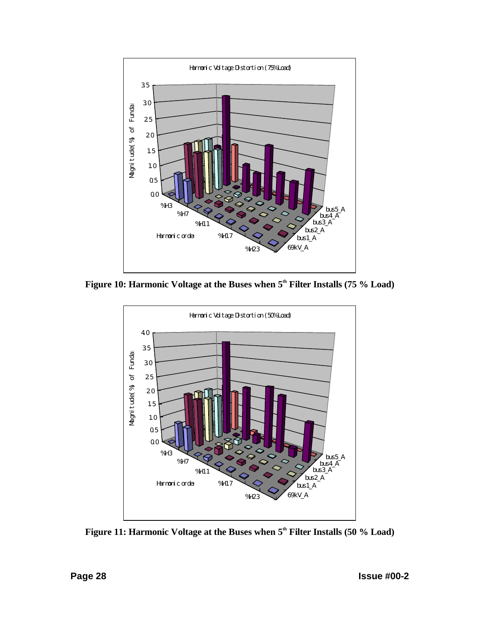

**Figure 10: Harmonic Voltage at the Buses when 5th Filter Installs (75 % Load)**



**Figure 11: Harmonic Voltage at the Buses when 5th Filter Installs (50 % Load)**